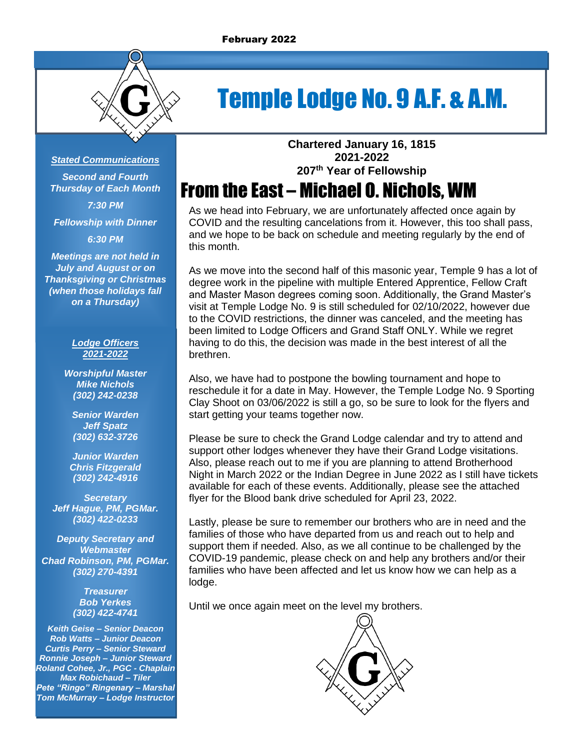

# Temple Lodge No. 9 A.F. & A.M.

#### *Stated Communications*

*Second and Fourth Thursday of Each Month 7:30 PM*

*Fellowship with Dinner*

*6:30 PM*

*Meetings are not held in July and August or on Thanksgiving or Christmas (when those holidays fall on a Thursday)*

#### *Lodge Officers 2021-2022*

*Worshipful Master Mike Nichols (302) 242-0238*

*Senior Warden Jeff Spatz (302) 632-3726*

*Junior Warden Chris Fitzgerald (302) 242-4916*

*Secretary Jeff Hague, PM, PGMar. (302) 422-0233*

*Deputy Secretary and Webmaster Chad Robinson, PM, PGMar. (302) 270-4391*

> *Treasurer Bob Yerkes (302) 422-4741*

*Keith Geise – Senior Deacon Rob Watts – Junior Deacon Curtis Perry – Senior Steward Ronnie Joseph – Junior Steward Roland Cohee, Jr., PGC - Chaplain Max Robichaud – Tiler Pete "Ringo" Ringenary – Marshal Tom McMurray – Lodge Instructor* **Chartered January 16, 1815 2021-2022 207 th Year of Fellowship**

## From the East – Michael O. Nichols, WM

As we head into February, we are unfortunately affected once again by COVID and the resulting cancelations from it. However, this too shall pass, and we hope to be back on schedule and meeting regularly by the end of this month.

As we move into the second half of this masonic year, Temple 9 has a lot of degree work in the pipeline with multiple Entered Apprentice, Fellow Craft and Master Mason degrees coming soon. Additionally, the Grand Master's visit at Temple Lodge No. 9 is still scheduled for 02/10/2022, however due to the COVID restrictions, the dinner was canceled, and the meeting has been limited to Lodge Officers and Grand Staff ONLY. While we regret having to do this, the decision was made in the best interest of all the brethren.

Also, we have had to postpone the bowling tournament and hope to reschedule it for a date in May. However, the Temple Lodge No. 9 Sporting Clay Shoot on 03/06/2022 is still a go, so be sure to look for the flyers and start getting your teams together now.

Please be sure to check the Grand Lodge calendar and try to attend and support other lodges whenever they have their Grand Lodge visitations. Also, please reach out to me if you are planning to attend Brotherhood Night in March 2022 or the Indian Degree in June 2022 as I still have tickets available for each of these events. Additionally, please see the attached flyer for the Blood bank drive scheduled for April 23, 2022.

Lastly, please be sure to remember our brothers who are in need and the families of those who have departed from us and reach out to help and support them if needed. Also, as we all continue to be challenged by the COVID-19 pandemic, please check on and help any brothers and/or their families who have been affected and let us know how we can help as a lodge.

Until we once again meet on the level my brothers.